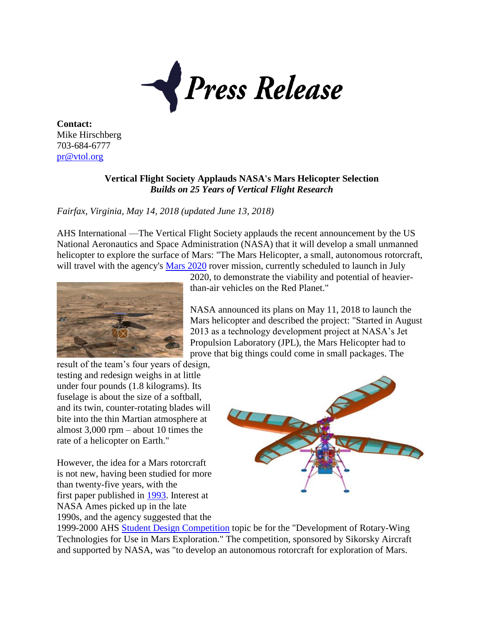

**Contact:** Mike Hirschberg 703-684-6777 [pr@vtol.org](mailto:pr@vtol.org)

## **Vertical Flight Society Applauds NASA's Mars Helicopter Selection** *Builds on 25 Years of Vertical Flight Research*

*Fairfax, Virginia, May 14, 2018 (updated June 13, 2018)*

AHS International —The Vertical Flight Society applauds the recent announcement by the US National Aeronautics and Space Administration (NASA) that it will develop a small unmanned helicopter to explore the surface of Mars: "The Mars Helicopter, a small, autonomous rotorcraft, will travel with the agency's [Mars 2020](https://www.nasa.gov/mars2020) rover mission, currently scheduled to launch in July



result of the team's four years of design, testing and redesign weighs in at little under four pounds (1.8 kilograms). Its fuselage is about the size of a softball, and its twin, counter-rotating blades will bite into the thin Martian atmosphere at almost 3,000 rpm – about 10 times the rate of a helicopter on Earth."

However, the idea for a Mars rotorcraft is not new, having been studied for more than twenty-five years, with the first paper published in [1993.](https://ui.adsabs.harvard.edu/#abs/1993graz.iafcQR...S) Interest at NASA Ames picked up in the late 1990s, and the agency suggested that the

2020, to demonstrate the viability and potential of heavierthan-air vehicles on the Red Planet."

NASA announced its plans on May 11, 2018 to launch the Mars helicopter and described the project: "Started in August 2013 as a technology development project at NASA's Jet Propulsion Laboratory (JPL), the Mars Helicopter had to prove that big things could come in small packages. The



1999-2000 AHS [Student Design Competition](https://vtol.org/sdc) topic be for the "Development of Rotary-Wing Technologies for Use in Mars Exploration." The competition, sponsored by Sikorsky Aircraft and supported by NASA, was "to develop an autonomous rotorcraft for exploration of Mars.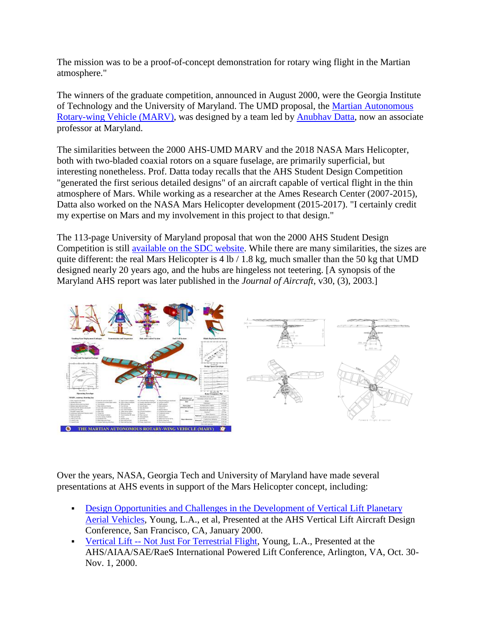The mission was to be a proof-of-concept demonstration for rotary wing flight in the Martian atmosphere."

The winners of the graduate competition, announced in August 2000, were the Georgia Institute of Technology and the University of Maryland. The UMD proposal, the [Martian Autonomous](https://vtol.org/5C7697B0-8F49-11E7-90FD005056BF91B4)  [Rotary-wing Vehicle \(MARV\),](https://vtol.org/5C7697B0-8F49-11E7-90FD005056BF91B4) was designed by a team led by [Anubhav Datta,](https://aero.umd.edu/faculty/datta) now an associate professor at Maryland.

The similarities between the 2000 AHS-UMD MARV and the 2018 NASA Mars Helicopter, both with two-bladed coaxial rotors on a square fuselage, are primarily superficial, but interesting nonetheless. Prof. Datta today recalls that the AHS Student Design Competition "generated the first serious detailed designs" of an aircraft capable of vertical flight in the thin atmosphere of Mars. While working as a researcher at the Ames Research Center (2007-2015), Datta also worked on the NASA Mars Helicopter development (2015-2017). "I certainly credit my expertise on Mars and my involvement in this project to that design."

The 113-page University of Maryland proposal that won the 2000 AHS Student Design Competition is still [available on the SDC website.](https://vtol.org/education/student-design-competition/past-student-design-winners) While there are many similarities, the sizes are quite different: the real Mars Helicopter is  $4 \text{ lb} / 1.8 \text{ kg}$ , much smaller than the 50 kg that UMD designed nearly 20 years ago, and the hubs are hingeless not teetering. [A synopsis of the Maryland AHS report was later published in the *Journal of Aircraft,* v30, (3), 2003.]



Over the years, NASA, Georgia Tech and University of Maryland have made several presentations at AHS events in support of the Mars Helicopter concept, including:

- Design Opportunities and Challenges in the Development of Vertical Lift Planetary [Aerial Vehicles,](https://vtol.org/store/product/design-opportunities-and-challenges-in-the-development-of-vertical-lift-planetary-aerial-vehicles-8286.cfm) Young, L.A., et al, Presented at the AHS Vertical Lift Aircraft Design Conference, San Francisco, CA, January 2000.
- Vertical Lift -- [Not Just For Terrestrial Flight,](https://vtol.org/store/product/vertical-lift-not-just-for-terrestrial-flight-8519.cfm) Young, L.A., Presented at the AHS/AIAA/SAE/RaeS International Powered Lift Conference, Arlington, VA, Oct. 30- Nov. 1, 2000.